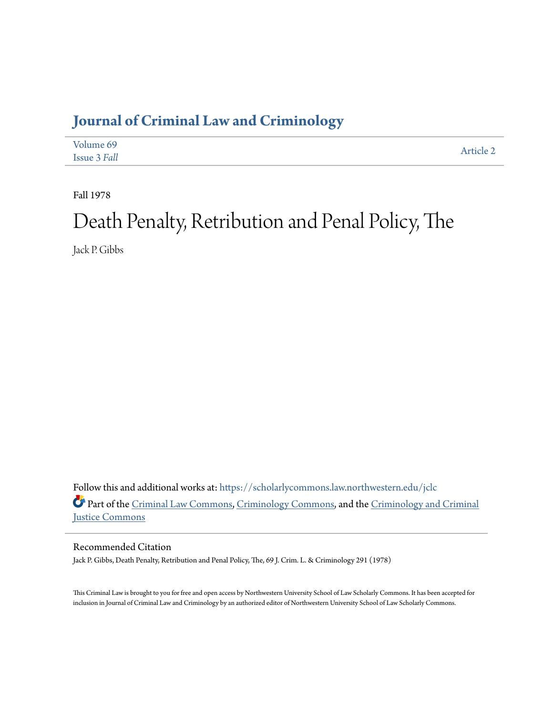# **[Journal of Criminal Law and Criminology](https://scholarlycommons.law.northwestern.edu/jclc?utm_source=scholarlycommons.law.northwestern.edu%2Fjclc%2Fvol69%2Fiss3%2F2&utm_medium=PDF&utm_campaign=PDFCoverPages)**

| Volume 69    | Article 2 |
|--------------|-----------|
| Issue 3 Fall |           |

Fall 1978

# Death Penalty, Retribution and Penal Policy, The

Jack P. Gibbs

Follow this and additional works at: [https://scholarlycommons.law.northwestern.edu/jclc](https://scholarlycommons.law.northwestern.edu/jclc?utm_source=scholarlycommons.law.northwestern.edu%2Fjclc%2Fvol69%2Fiss3%2F2&utm_medium=PDF&utm_campaign=PDFCoverPages) Part of the [Criminal Law Commons](http://network.bepress.com/hgg/discipline/912?utm_source=scholarlycommons.law.northwestern.edu%2Fjclc%2Fvol69%2Fiss3%2F2&utm_medium=PDF&utm_campaign=PDFCoverPages), [Criminology Commons](http://network.bepress.com/hgg/discipline/417?utm_source=scholarlycommons.law.northwestern.edu%2Fjclc%2Fvol69%2Fiss3%2F2&utm_medium=PDF&utm_campaign=PDFCoverPages), and the [Criminology and Criminal](http://network.bepress.com/hgg/discipline/367?utm_source=scholarlycommons.law.northwestern.edu%2Fjclc%2Fvol69%2Fiss3%2F2&utm_medium=PDF&utm_campaign=PDFCoverPages) [Justice Commons](http://network.bepress.com/hgg/discipline/367?utm_source=scholarlycommons.law.northwestern.edu%2Fjclc%2Fvol69%2Fiss3%2F2&utm_medium=PDF&utm_campaign=PDFCoverPages)

Recommended Citation

Jack P. Gibbs, Death Penalty, Retribution and Penal Policy, The, 69 J. Crim. L. & Criminology 291 (1978)

This Criminal Law is brought to you for free and open access by Northwestern University School of Law Scholarly Commons. It has been accepted for inclusion in Journal of Criminal Law and Criminology by an authorized editor of Northwestern University School of Law Scholarly Commons.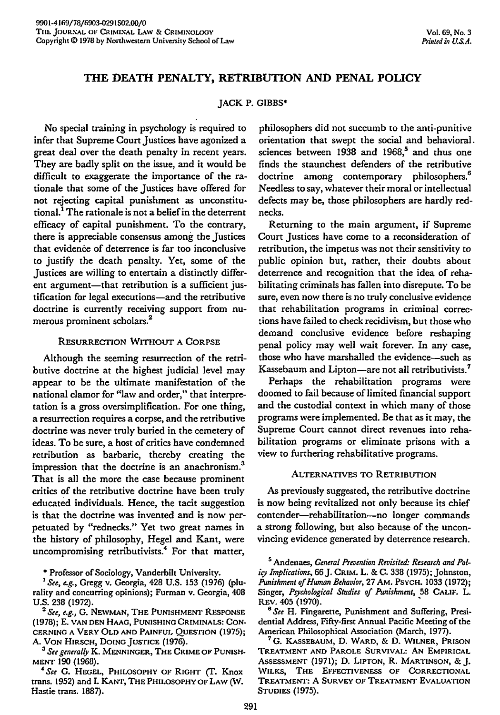# **THE DEATH PENALTY, RETRIBUTION AND PENAL POLICY**

# JACK P. GIBBS\*

No special training in psychology is required to infer that Supreme Court Justices have agonized a great deal over the death penalty in recent years. They are badly split on the issue, and it would be difficult to exaggerate the importance of the rationale that some of the Justices have offered for not rejecting capital punishment as unconstitutional.1 The rationale is not a belief in the deterrent efficacy of capital punishment. To the contrary, there is appreciable consensus among the Justices that evidence of deterrence is far too inconclusive to justify the death penalty. Yet, some of the Justices are willing to entertain a distinctly different argument-that retribution is a sufficient justification for legal executions-and the retributive doctrine is currently receiving support from numerous prominent scholars.<sup>2</sup>

### RESURRECTION WITHOUT **A** CORPSE

Although the seeming resurrection of the retributive doctrine at the highest judicial level may appear to be the ultimate manifestation of the national clamor for "law and order," that interpretation is a gross oversimplification. For one thing, a resurrection requires a corpse, and the retributive doctrine was never truly buried in the cemetery of ideas. To **be** sure, a host of critics have condemned retribution as barbaric, thereby creating the impression that the doctrine is an anachronism.<sup>3</sup> That is all the more the case because prominent critics of the retributive doctrine have been truly educated individuals. Hence, the tacit suggestion is that the doctrine was invented and is now perpetuated by "rednecks." Yet two great names in the history of philosophy, Hegel and Kant, were uncompromising retributivists.4 For that matter,

\* Professor of Sociology, Vanderbilt University.

*'See, e.g.,* Gregg v. Georgia, 428 U.S. 153 (1976) (plurality and concurring opinions); Furman v. Georgia, 408 U.S. **238** (1972). *2 See, e.g.,* **G. NEWMAN,** THE PUNISHMENT RESPONSE

**(1978);** E. VAN **DEN** HAAG, PUNISHING CRIMINALS: **CON-CERNING A** VERY OLD **AND PAINFUL** QUESTION (1975);

A. VON HIRSCH, DOING JUSTICE (1976). *<sup>3</sup>Seegenerally* K. MENNINGER, THE CRIME OF PUNISH-**MENT 190 (1968).** *<sup>4</sup> See* **G. HEGEL,** PHILOSOPHY OF RIGHT (T. Knox

trans. **1952)** and I. *KAmr,* THE PHILOSOPHY OF LAW (W. Hastie trans. 1887).

philosophers did not succumb to the anti-punitive orientation that swept the social and behavioral. sciences between 1938 and 1968,<sup>5</sup> and thus one finds the staunchest defenders of the retributive doctrine among contemporary philosophers.<sup>6</sup> Needless to say, whatever their moral or intellectual defects may be, those philosophers are hardly rednecks.

Returning to the main argument, if Supreme Court Justices have come to a reconsideration of retribution, the impetus was not their sensitivity to public opinion but, rather, their doubts about deterrence and recognition that the idea of rehabilitating criminals has fallen into disrepute. To be sure, even now there is no truly conclusive evidence that rehabilitation programs in criminal corrections have failed to check recidivism, but those who demand conclusive evidence before reshaping penal policy may well wait forever. In any case, those who have marshalled the evidence-such as Kassebaum and Lipton-are not all retributivists.<sup>7</sup>

Perhaps the rehabilitation programs were doomed to fail because of limited financial support and the custodial context in which many of those programs were implemented. Be that as it may, the Supreme Court cannot direct revenues into rehabilitation programs or eliminate prisons with a view to furthering rehabilitative programs.

## **ALTERNATIVES** TO RETRIBUTION

As previously suggested, the retributive doctrine is now being revitalized not only because its chief contender-rehabilitation-no longer commands a strong following, but also because of the unconvincing evidence generated **by** deterrence research.

**5** Andenaes, *General Prevention Revisited: Research and Policy Implications,* **66J.** CRIM. L. **& C. 338 (1975);** Johnston, *Punishment of Hwnan Behavior,* **27** AM. PSYCH. **1033 (1972);** Singer, *Psychological Studies of Punishment,* **58** CALIF. L.

REV. 405 **(1970).** *<sup>6</sup>See* H. Fingarette, Punishment and Suffering, Presidential Address, Fifty-first Annual Pacific Meeting of the American Philosophical Association (March, **1977). <sup>7</sup> G.** KASSEBAUM, **D.** WARD, **& D.** WILNER, PRISON

TREATMENr AND PAROLE SURVIVAL: AN EMPIRICAL ASSESSMENI (1971); **D.** LIPTON, R. MARTrINSON, & **J.** WILKS, THE EFFECTIVENESS OF CORRECTIONAL TREATMENT: A SURVEY OF TREATMENT EVALUATION SrUDIES (1975).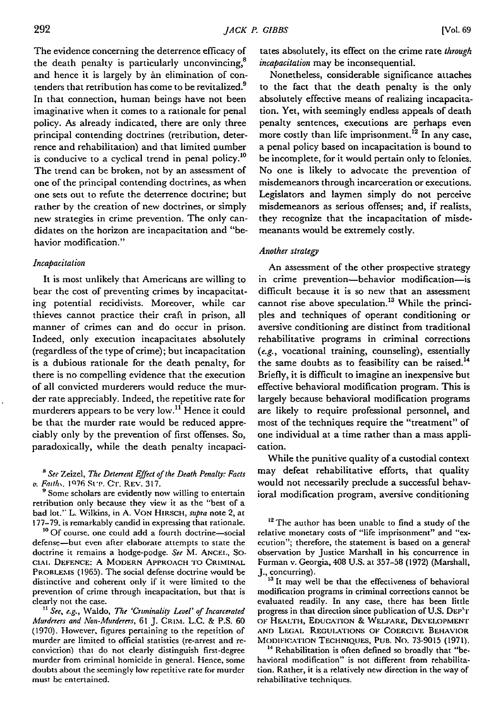The evidence concerning the deterrence efficacy of the death penalty is particularly unconvincing,<sup>8</sup> and hence it is largely by an elimination of contenders that retribution has come to be revitalized.<sup>9</sup> In that connection, human beings have not been imaginative when it comes to a rationale for penal policy. As already indicated, there are only three principal contending doctrines (retribution, deterrence and rehabilitation) and that limited number is conducive to a cyclical trend in penal policy.<sup>10</sup> The trend can be broken, not by an assessment of one of the principal contending doctrines, as when one sets out to refute the deterrence doctrine; but rather by the creation of new doctrines, or simply new strategies in crime prevention. The only candidates on the horizon are incapacitation and "behavior modification."

#### *Incapacitation*

It is most unlikely that Americans are willing to bear the cost of preventing crimes by incapacitating potential recidivists. Moreover, while car thieves cannot practice their craft in prison, all manner of crimes can and do occur in prison. Indeed, only execution incapacitates absolutely (regardless of the type of crime); but incapacitation is a dubious rationale for the death penalty, for there is no compelling evidence that the execution of all convicted murderers would reduce the murder rate appreciably. Indeed, the repetitive rate for murderers appears to be very low." Hence it could be that the murder rate would be reduced appreciably only by the prevention of first offenses. So, paradoxically, while the death penalty incapaci-

*"* See Zeizel, The Deterrent Effect of *the* Death Penalty: Facts *v. Faith,.* **1076** Stp. Cr. REV. **317.**

**'** Some scholars are evidently now willing to entertain retribution only because they view it as the "best of a bad lot." L. Wilkins, in A. **VON** HIRSCH, supra note 2, at **177-79.** is remarkably candid in expressing that rationale.

<sup>10</sup> Of course, one could add a fourth doctrine-social defense-but even after elaborate attempts to state the doctrine it remains a hodge-podge. *See* M. **ANCEL.,** SO-**CIAL. D.FENCE: A MODERN** APPROACH TO CRIMINAL PROBLEMS (1965). The social defense doctrine would be distinctive and coherent only if **it** were limited to the prevention of crime through incapacitation, but that is clearly not the case.

**"** *See,* e.g., Waldo, *The 'Crminality* Level' of Incarcerated Murderers and *Non-Murderers,* 61 J. CRIm. L.C. & P.S. 60 (1970). However, figures pertaining to the repetition of murder are limited to official statistics (re-arrest and reconviction) that do not clearly distinguish first-degree murder from criminal homicide in general. Hence, some doubts about the seemingly low repetitive rate for murder must **be** entertained.

tates absolutely, its effect on the crime rate *through incapacitation* may be inconsequential.

Nonetheless, considerable significance attaches to the fact that the death penalty is the only absolutely effective means of realizing incapacitation. Yet, with seemingly endless appeals of death penalty sentences, executions are perhaps even more costly than life imprisonment.<sup>12</sup> In any case, a penal policy based on incapacitation is bound to be incomplete, for it would pertain only to felonies. No one is likely to advocate the prevention of misdemeanors through incarceration or executions. Legislators and laymen simply do not perceive misdemeanors as serious offenses; and, if realists, they recognize that the incapacitation of misdemeanants would be extremely costly.

# Another strategy

An assessment of the other prospective strategy in crime prevention-behavior modification-is difficult because it is so new that an assessment cannot rise above speculation.<sup>13</sup> While the principles and techniques of operant conditioning or aversive conditioning are distinct from traditional rehabilitative programs in criminal corrections *(e.g.,* vocational training, counseling), essentially the same doubts as to feasibility can be raised.<sup>14</sup> Briefly, it is difficult to imagine an inexpensive but effective behavioral modification program. This is largely because behavioral modification programs are likely to require professional personnel, and most of the techniques require the "treatment" of one individual at a time rather than a mass application.

While the punitive quality of a custodial context may defeat rehabilitative efforts, that quality would not necessarily preclude a successful behavioral modification program, aversive conditioning

<sup>12</sup> The author has been unable to find a study of the relative monetary costs of "life imprisonment" and "execution"; therefore, the statement is based on a general observation by Justice Marshall in his concurrence in Furman v. Georgia, 408 U.S. at 357-58 (1972) (Marshall, J., concurring).

**<sup>13</sup>**It may well be that the effectiveness of behavioral modification programs in criminal corrections cannot be evaluated readily. In any case, there has been little progress in that direction since publication of U.S. DEP'T **OF** HEATI-H, **EDUCATrION** & WELFARE, **DEVEI.OPMENT AND LEGAL REGULATIONS** OF COERCIVE BEHAVIOR **MODIFICA'rON TECHNIQUES,** PUB. No. 73-9015 (1971).

**"'** Rehabilitation is often defined so broadly that "behavioral modification" is not different from rehabilitation. Rather, it is a relatively new direction in the way of rehabilitative techniques.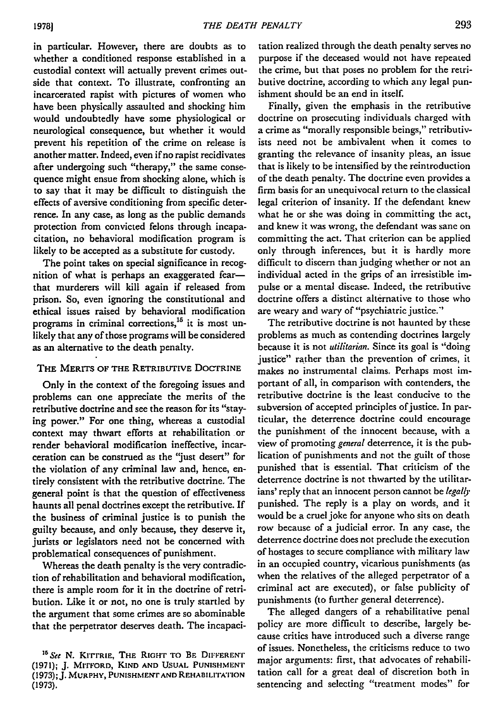in particular. However, there are doubts as to whether a conditioned response established in a custodial context will actually prevent crimes outside that context. To illustrate, confronting an incarcerated rapist with pictures of women who have been physically assaulted and shocking him would undoubtedly have some physiological or neurological consequence, but whether it would prevent his repetition of the crime on release is another matter. Indeed, even if no rapist recidivates after undergoing such "therapy," the same consequence might ensue from shocking alone, which is to say that it may be difficult to distinguish the effects of aversive conditioning from specific deterrence. In any case, as long as the public demands protection from convicted felons through incapacitation, no behavioral modification program is likely to be accepted as a substitute for custody.

The point takes on special significance in recognition of what is perhaps an exaggerated fearthat murderers will kill again if released from prison. So, even ignoring the constitutional and ethical issues raised by behavioral modification programs in criminal corrections,<sup>15</sup> it is most unlikely that any of those programs will be considered as an alternative to the death penalty.

# THE MERITS OF THE RETRIBUTIVE DOCTRINE

Only in the context of the foregoing issues and problems can one appreciate the merits of the retributive doctrine and see the reason for its "staying power." For one thing, whereas a custodial context may thwart efforts at rehabilitation or render behavioral modification ineffective, incarceration can be construed as the "just desert" for the violation of any criminal law and, hence, entirely consistent with the retributive doctrine. The general point is that the question of effectiveness haunts all penal doctrines except the retributive. If the business of criminal justice is to punish the guilty because, and only because, they deserve it, jurists or legislators need not be concerned with problematical consequences of punishment.

Whereas the death penalty is the very contradiction of rehabilitation and behavioral modification, there is ample room for it in the doctrine of retribution. Like it or not, no one is truly startled **by** the argument that some crimes are so abominable that the perpetrator deserves death. The incapaci-

tation realized through the death penalty serves no purpose if the deceased would not have repeated the crime, but that poses no problem for the retributive doctrine, according to which any legal punishment should be an end in itself.

Finally, given the emphasis in the retributive doctrine on prosecuting individuals charged with a crime as "morally responsible beings," retributivists need not be ambivalent when it comes to granting the relevance of insanity pleas, an issue that is likely to be intensified by the reintroduction of the death penalty. The doctrine even provides a firm basis for an unequivocal return to the classical legal criterion of insanity. If the defendant knew what he or she was doing in committing the act, and knew it was wrong, the defendant was sane on committing the act. That criterion can be applied only through inferences, but it is hardly more difficult to discern than judging whether or not an individual acted in the grips of an irresistible impulse or a mental disease. Indeed, the retributive doctrine offers a distinct alternative to those who are weary and wary of "psychiatric justice."

The retributive doctrine is not haunted by these problems as much as contending doctrines largely because it is not *utilitarian.* Since its goal is "doing justice" rather than the prevention of crimes, it makes no instrumental claims. Perhaps most important of all, in comparison with contenders, the retributive doctrine is the least conducive to the subversion of accepted principles of justice. In particular, the deterrence doctrine could encourage the punishment of the innocent because, with a view of promoting *general* deterrence, it is the publication of punishments and not the guilt of those punished that is essential. That criticism of the deterrence doctrine is not thwarted by the utilitarians' reply that an innocent person cannot be *legally* punished. The reply is a play on words, and it would be a cruel joke for anyone who sits on death row because of a judicial error. In any case, the deterrence doctrine does not preclude the execution of hostages to secure compliance with military law in an occupied country, vicarious punishments (as when the relatives of the alleged perpetrator of a criminal act are executed), or false publicity of punishments (to further general deterrence).

The alleged dangers of a rehabilitative penal policy are more difficult to describe, largely because critics have introduced such a diverse range of issues. Nonetheless, the criticisms reduce to two major arguments: first, that advocates of rehabilitation call for a great deal of discretion both in sentencing and selecting "treatment modes" for

*<sup>1</sup> <sup>5</sup> See* **N.** KrrrRIE, **THE RIGHT TO BE DIFFERENT** (1971); **J.** MrrFORD, KIND **AND USUAL PUNISHMENT** (1973); J. MURPHY, PUNISHMENT AND REHABILITATION (1973).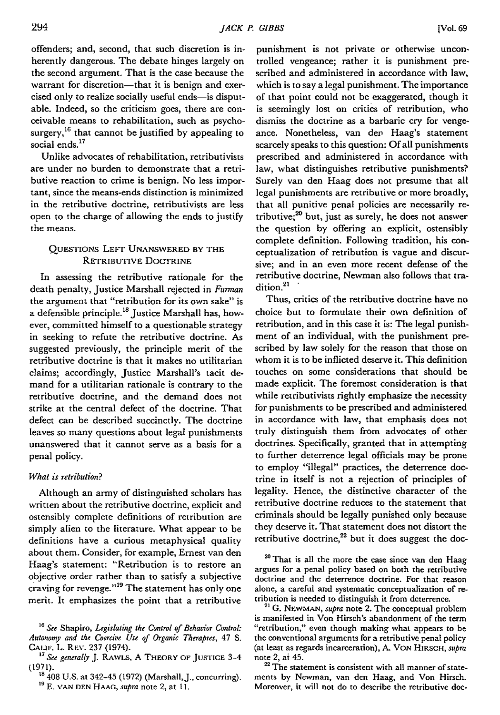offenders; and, second, that such discretion is inherently dangerous. The debate hinges largely on the second argument. That is the case because the warrant for discretion-that it is benign and exercised only to realize socially useful ends-is disputable. Indeed, so the criticism goes, there are conceivable means to rehabilitation, such as psychosurgery,16 that cannot be justified **by** appealing to social ends.<sup>17</sup>

Unlike advocates of rehabilitation, retributivists are under no burden to demonstrate that a retributive reaction to crime is benign. No less important, since the means-ends distinction is minimized in the retributive doctrine, retributivists are less open to the charge of allowing the ends to justify the means.

# QUESTIONS LEFT UNANSWERED BY THE RETRIBUTIVE DOCTRINE

In assessing the retributive rationale for the death penalty, Justice Marshall rejected in *Furman* the argument that "retribution for its own sake" is a defensible principle.<sup>18</sup> Justice Marshall has, however, committed himself to a questionable strategy in seeking to refute the retributive doctrine. As suggested previously, the principle merit of the retributive doctrine is that it makes no utilitarian claims; accordingly, Justice Marshall's tacit demand for a utilitarian rationale is contrary to the retributive doctrine, and the demand does not strike at the central defect of the doctrine. That defect can be described succinctly. The doctrine leaves so many questions about legal punishments unanswered that it cannot serve as a basis for a penal policy.

# *What is retribution?*

Although an army of distinguished scholars has written about the retributive doctrine, explicit and ostensibly complete definitions of retribution are simply alien to the literature. What appear to be definitions have a curious metaphysical quality about them. Consider, for example, Ernest van den Haag's statement: "Retribution is to restore an objective order rather than to satisfy a subjective craving for revenge."19 The statement has only one merit. It emphasizes the point that a retributive

punishment is not private or otherwise uncontrolled vengeance; rather it is punishment prescribed and administered in accordance with law, which is to say a legal punishment. The importance of that point could not be exaggerated, though it is seemingly lost on critics of retribution, who dismiss the doctrine as a barbaric cry for vengeance. Nonetheless, van den Haag's statement scarcely speaks to this question: Of all punishments prescribed and administered in accordance with law, what distinguishes retributive punishments? Surely van den Haag does not presume that all legal punishments are retributive or more broadly, that all punitive penal policies are necessarily retributive; $20$  but, just as surely, he does not answer the question by offering an explicit, ostensibly complete definition. Following tradition, his conceptualization of retribution is vague and discursive; and in an even more recent defense of the retributive doctrine, Newman also follows that tradition.<sup>21</sup>

Thus, critics of the retributive doctrine have no choice but to formulate their own definition of retribution, and in this case it is: The legal punishment of an individual, with the punishment prescribed **by** law solely for the reason that those on whom it is to be inflicted deserve it. This definition touches on some considerations that should be made explicit. The foremost consideration is that while retributivists rightly emphasize the necessity for punishments to be prescribed and administered in accordance with law, that emphasis does not truly distinguish them from advocates of other doctrines. Specifically, granted that in attempting to further deterrence legal officials may be prone to employ "illegal" practices, the deterrence doctrine in itself is not a rejection of principles of legality. Hence, the distinctive character of the retributive doctrine reduces to the statement that criminals should be legally punished only because they deserve it. That statement does not distort the retributive doctrine, $^{22}$  but it does suggest the doc-

**20 That** is all the more the case since van den Haag argues for a penal policy based on both the retributive doctrine and the deterrence doctrine. For that reason alone, a careful and systematic conceptualization of retribution is needed to distinguish it from deterrence. **21 G. NEWMAN,** *supra* note 2. The conceptual problem

is manifested in Von Hirsch's abandonment of the term "retribution," even though making what appears to be the conventional arguments for a retributive penal policy (at least as regards incarceration), **A. VON** HIRSCH, *supra* note 2, at 45.

**<sup>16</sup>** *See* Shapiro, *Legislating the Control of Behavior Control: Autonomy and the Coercive Use of Organic Therapies,* 47 **S. CALIF.** L. REV. 237 (1974).

**<sup>17</sup>** *See generally* **J.** RAWLS, A THEORY OF JUSICE 3-4 (1971).

**<sup>18</sup>** 408 U.S. at 342-45 (1972) (Marshall,J., concurring).

**<sup>19</sup> E. VAN DEN HAAG,** supra note 2, at **11.**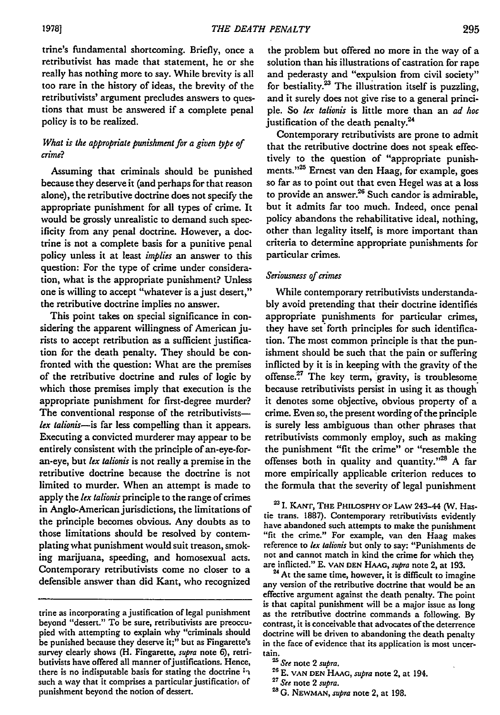trine's fundamental shortcoming. Briefly, once a retributivist has made that statement, he or she really has nothing more to say. While brevity is all too rare in the history of ideas, the brevity of the retributivists' argument precludes answers to questions that must be answered if a complete penal policy is to be realized.

# *What is the appropriate punishment for a given type of crime?*

Assuming that criminals should be punished because they deserve it (and perhaps for that reason alone), the retributive doctrine does not specify the appropriate punishment for all types of crime. It would be grossly unrealistic to demand such specificity from any penal doctrine. However, a doctrine is not a complete basis for a punitive penal policy unless it at least *implies* an answer to this question: For the type of crime under consideration, what is the appropriate punishment? Unless one is willing to accept "whatever is a just desert," the retributive doctrine implies no answer.

This point takes on special significance in considering the apparent willingness of American jurists to accept retribution as a sufficient justification for the death penalty. They should be confronted with the question: What are the premises of the retributive doctrine and rules of logic by which those premises imply that execution is the appropriate punishment for first-degree murder? The conventional response of the retributivists*lex talionis-is* far less compelling than it appears. Executing a convicted murderer may appear to be entirely consistent with the principle of an-eye-foran-eye, but *lex talionis* is not really a premise in the retributive doctrine because the doctrine is not limited to murder. When an attempt is made to apply the *lex talionis* principle to the range of crimes in Anglo-American jurisdictions, the limitations of the principle becomes obvious. Any doubts as to those limitations should be resolved by contemplating what punishment would suit treason, smoking marijuana, speeding, and homosexual acts. Contemporary retributivists come no closer to a defensible answer than did Kant, who recognized

the problem but offered no more in the way of a solution than his illustrations of castration for rape and pederasty and "expulsion from civil society" for bestiality.<sup>23</sup> The illustration itself is puzzling, and it surely does not give rise to a general principle. So *lex talionis* is little more than an *ad hoc* justification of the death penalty.<sup>24</sup>

Contemporary retributivists are prone to admit that the retributive doctrine does not speak effectively to the question of "appropriate punishments."<sup>25</sup> Ernest van den Haag, for example, goes so far as to point out that even Hegel was at a loss to provide an answer.<sup>26</sup> Such candor is admirable, but it admits far too much. Indeed, once penal policy abandons the rehabilitative ideal, nothing, other than legality itself, is more important than criteria to determine appropriate punishments for particular crimes.

# *Seriousness of crimes*

While contemporary retributivists understandably avoid pretending that their doctrine identifies appropriate punishments for particular crimes, they have set forth principles for such identification. The most common principle is that the punishment should be such that the pain or suffering inflicted by it is in keeping with the gravity of the offense.<sup>27</sup> The key term, gravity, is troublesome because retributivists persist in using it as though" it denotes some objective, obvious property of a crime. Even so, the present wording of the principle is surely less ambiguous than other phrases that retributivists commonly employ, such as making the punishment "fit the crime" or "resemble the offenses both in quality and quantity."<sup>28</sup> A far more empirically applicable criterion reduces to the formula that the severity of legal punishment

<sup>23</sup> I. KANT, THE PHILOSPHY OF LAW 243-44 (W. Hastie trans. 1887). Contemporary retributivists evidently have abandoned such attempts to make the punishment "fit the crime." For example, van den Haag makes reference to *lex talionis* but only to say: "Punishments **dc** not and cannot match in kind the crime for which they are inflicted." E. VAN DEN HAAG, *supra* note 2, at 193.<br><sup>24</sup> At the same time, however, it is difficult to imagine

any version of the retributive doctrine that would be an effective argument against the death penalty. The point is that capital punishment will be a major issue as long as the retributive doctrine commands a following. By contrast, it is conceivable that advocates of the deterrence doctrine will be driven to abandoning the death penalty in the face of evidence that its application is most uncertain.<br> $^{25}$  See note 2 supra.

trine as incorporating ajustification of legal punishment beyond "dessert." To be sure, retributivists are preoccupied with attempting to explain why "criminals should be punished because they deserve it;" but as Fingarette's survey clearly shows (H. Fingarette, *supra* note **6),** retributivists have offered all manner of justifications. Hence, there is no indisputable basis for stating the doctrine **;-i** such a way that it comprises a particular justificatior. of punishment beyond the notion of dessert.

*<sup>2</sup> See* note 2 *supra.* <sup>2</sup> 6 E. **VAN DEN HAAG,** *supra* note **2,** at 194.

**<sup>27</sup>** See note 2 *supra.*

**<sup>2</sup>** G. **NEWMAN,** *supra* note 2, at 198.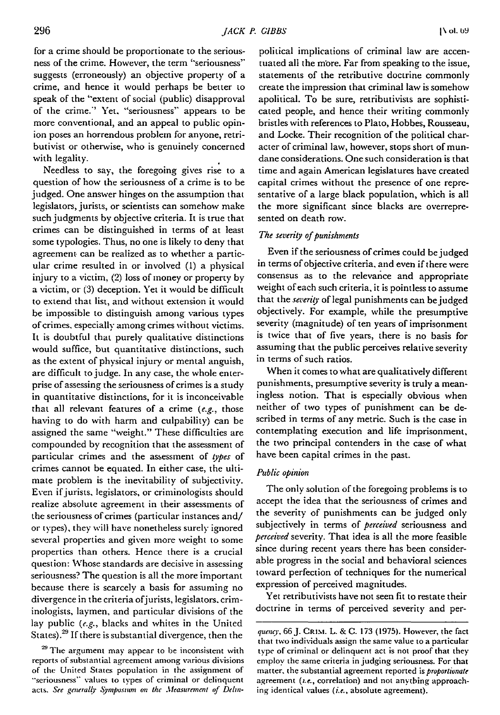**J\ ol. b9**

for a crime should be proportionate to the seriousness of the crime. However, the term "seriousness" suggests (erroneously) an objective property of a crime, and hence it would perhaps be better to speak of the "extent of social (public) disapproval of the crime." Yet, "seriousness" appears to be more conventional, and an appeal to public opinion poses an horrendous problem for anyone, retributivist or otherwise, who is genuinely concerned with legality.

Needless to say, the foregoing gives rise to a question of how the seriousness of a crime is to be judged. One answer hinges on the assumption that legislators, jurists, or scientists can somehow make such judgments by objective criteria. It is true that crimes can be distinguished in terms of at least some typologies. Thus, no one is likely to deny that agreement can be realized as to whether a particular crime resulted in or involved **(1)** a physical injury to a victim, (2) loss of money or property by a victim, or (3) deception. Yet it would be difficult to extend that list, and without extension it would be impossible to distinguish among various types of crimes, especially among crimes without victims. It is doubtful that purely qualitative distinctions would suffice, but quantitative distinctions, such as the extent of physical injury or mental anguish, are difficult to judge. In any case, the whole enterprise of assessing the seriousness of crimes is a study in quantitative distinctions, for it is inconceivable that all relevant features of a crime *(e.g.,* those having to do with harm and culpability) can be assigned the same "weight." These difficulties are compounded by recognition that the assessment of particular crimes and the assessment of *types* of crimes cannot be equated. In either case, the ultimate problem is the inevitability of subjectivity. Even if jurists, legislators, or criminologists should realize absolute agreement in their assessments of the seriousness of crimes (particular instances and/ or types), they will have nonetheless surely ignored several properties and given more weight to some properties than others. Hence there is a crucial question: Whose standards are decisive in assessing seriousness? The question is all the more important because there is scarcely a basis for assuming no divergence in the criteria ofjurists, legislators. criminologists, laymen, and particular divisions of the lay public *(e.g.,* blacks and whites in the United States).29 If there is substantial divergence, then the

political implications of criminal law are accentuated all the m'ore. Far from speaking to the issue, statements of the retributive doctrine commonly create the impression that criminal law is somehow apolitical. To be sure, retributivists are sophisticated people, and hence their writing commonly bristles with references to Plato, Hobbes, Rousseau, and Locke. Their recognition of the political character of criminal law, however, stops short of mundane considerations. One such consideration is that time and again American legislatures have created capital crimes without the presence of one representative of a large black population, which is all the more significant since blacks are overrepresented on death row.

# *The severity of punishments*

Even if the seriousness of crimes could bejudged in terms of objective criteria, and even if there were consensus as to the relevance and appropriate weight of each such criteria, it is pointless to assume that the *severiy* of legal punishments can bejudged objectively. For example, while the presumptive severity (magnitude) of ten years of imprisonment is twice that of five years, there is no basis for assuming that the public perceives relative severity in terms of such ratios.

When it comes to what are qualitatively different punishments, presumptive severity is truly a meaningless notion. That is especially obvious when neither of two types of punishment can be described in terms of any metric. Such is the case in contemplating execution and life imprisonment, the two principal contenders in the case of what have been capital crimes in the past.

## *Public opinion*

The only solution of the foregoing problems is to accept the idea that the seriousness of crimes and the severity of punishments can be judged only subjectively in terms of *perceived* seriousness and *perceived* severity. That idea is all the more feasible since during recent years there has been considerable progress in the social and behavioral sciences toward perfection of techniques for the numerical expression of perceived magnitudes.

Yet retributivists have not seen fit to restate their doctrine in terms of perceived severity and per-

<sup>&</sup>lt;sup>29</sup> The argument may appear to be inconsistent with reports of substantial agreement among various divisions of the United States population in the assignment of "seriousness" values to types of criminal or delinquent acts. *See generally Symposium on the Aeasurenent of Dehm-*

*quenc',* 66J. CR **IM.** L. & **C.** 173 (1975). However, the fact that two individuals assign the same value to a particular type of criminal or delinquent act is not proof that they employ the same criteria in judging seriousness. For that matter, the substantial agreement reported is *proportionate* agreement *(i.e.,* correlation) and not anything approaching identical values *(i.e.,* absolute agreement).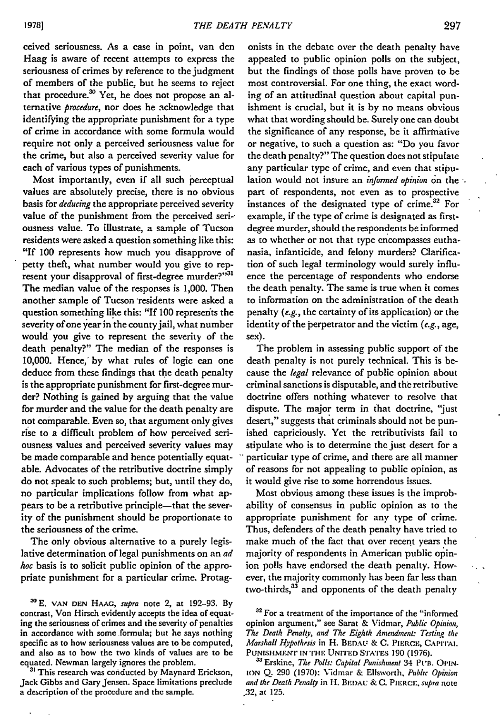ceived seriousness. As a case in point, van den Haag is aware of recent attempts to express the seriousness of crimes by reference to the judgment of members of the public, but he seems to reject that procedure.<sup>30</sup> Yet, he does not propose an alternative *procedure,* nor does he acknowledge that identifying the appropriate punishment for a type of crime in accordance with some formula would require not only a perceived seriousness value for the crime, but also a perceived severity value for each of various types of punishments.

Most importantly, even if all such perceptual values are absolutely precise, there is no obvious basis for *deducing* the appropriate perceived severity value of the punishment from the perceived seri- ousness value. To illustrate, a sample of Tucson residents were asked a question something like this: "If **100** represents how much you disapprove of petty theft, what number would you give to represent your disapproval of first-degree murder?"31 The median value of the responses is 1,000. Then another sample of Tucson residents were asked a question something like this: "If 100 represents the severity of one year in the county jail, what number would you give to represent the severity of the death penalty?" The median of the responses is 10,000. Hence, by what rules of logic can one deduce from these findings that the death penalty is the appropriate punishment for first-degree murder? Nothing is gained by arguing that the value for murder and the value for the death penalty are not comparable. Even so, that argument only gives rise to a difficult problem of how perceived seriousness values and perceived severity values may be made comparable and hence potentially equatable. Advocates of the retributive doctrine simply do not speak to such problems; but, until they do, no particular implications follow from what appears to be a retributive principle-that the severity of the punishment should be proportionate to the seriousness of the crime.

The only obvious alternative to a purely legislative determination of legal punishments on an *ad hoc* basis is to solicit public opinion of the appropriate punishment for a particular crime. Protag-

**31** This research was conducted **by** Maynard Erickson, Jack Gibbs and Gary Jensen. Space limitations preclude a description of the procedure and the sample.

onists in the debate over the death penalty have appealed to public opinion polls on the subject, but the findings of those polls have proven to be most controversial. For one thing, the exact wording of an attitudinal question about capital punishment is crucial, but it is by no means obvious what that wording should be. Surely one can doubt the significance of any response, be it affirmative or negative, to such a question as: "Do you favor the death penalty?" The question does not stipulate any particular type of crime, and even that stipulation would not insure an *informed opinion* **on** the part of respondents, not even as to prospective instances of the designated type of crime. $32$  For example, if the type of crime is designated as firstdegree murder, should the respondents be informed as to whether or not that type encompasses euthanasia, infanticide, and felony murders? Clarification of such legal terminology would surely influence the percentage of respondents who endorse the death penalty. The same is true when it comes to information on the administration of the death penalty *(e.g.,* the certainty of its application) or the identity of the perpetrator and the victim *(e.g.,* age, sex).

The problem in assessing public support of the death penalty is not purely technical. This is because the *legal* relevance of public opinion about criminal sanctions is disputable, and the retributive doctrine offers nothing whatever to resolve that dispute. The major term in that doctrine, "just desert," suggests that criminals should not be punished capriciously. Yet the retributivists fail to stipulate who is to determine the just desert for a particular type of crime, and there are all manner of reasons for not appealing to public opinion, as it would give rise to some horrendous issues.

Most obvious among these issues is the improbability of consensus in public opinion as to the appropriate punishment for any type of crime. Thus, defenders of the death penalty have tried to make much of the fact that over receqt years the majority of respondents in American public opinion polls have endorsed the death penalty. However, the majority commonly has been far less than two-thirds, $3^3$  and opponents of the death penalty

<sup>32</sup> For a treatment of the importance of the "informed opinion argument," see Sarat **&** Vidmar, *Public Opinion,* The Death Penalty, and The Eighth Amendment: Testing the *Marshall* Hypothesis in H. **BEDAU** & **C.** PIERCE, CAPITAL. PUNiSHMENT **IN THE UNITED** STATES **190 (1976).**

<sup>33</sup> Erskine, *The Polls: Capital Punishment* 34 PUB. OPIN-**ION Q.** 290 (1970): Vidmar & Ellsworth, *Pubhc Opinion and the Death Penalty* in H. BEDAC & C. PIERCE, supra note .32, at 125.

**<sup>0</sup>** E. **VAN DEN HAAG,** supra note 2, at 192-93. **By** contrast, Von Hirsch evidently accepts the idea of equating the seriousness of crimes and the severity of penalties in accordance with some formula; but he says nothing specific as to how seriousness values are to be computed, and also as to how the two kinds of values are to **be** equated. Newman largely ignores the problem.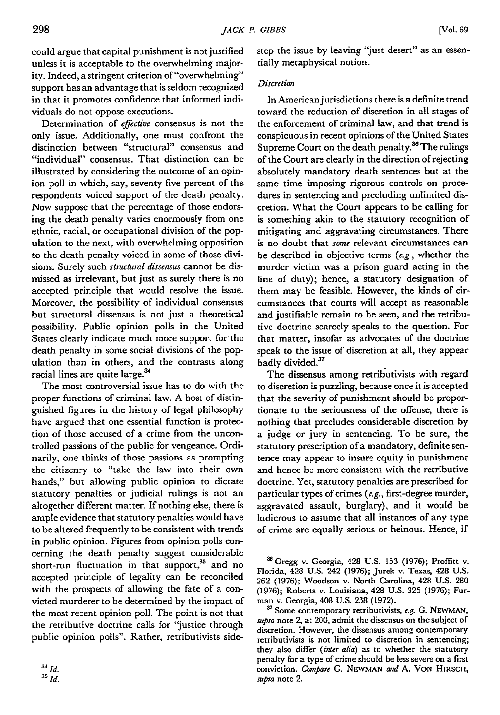could argue that capital punishment is not justified unless it is acceptable to the overwhelming majority. Indeed, a stringent criterion of "overwhelming" support has an advantage that is seldom recognized in that it promotes confidence that informed individuals do not oppose executions.

Determination of *effective* consensus is not the only issue. Additionally, one must confront the distinction between "structural" consensus and "individual" consensus. That distinction can be illustrated by considering the outcome of an opinion poll in which, say, seventy-five percent of the respondents voiced support of the death penalty. Now suppose that the percentage of those endorsing the death penalty varies enormously from one ethnic, racial, or occupational division of the population to the next, with overwhelming opposition to the death penalty voiced in some of those divisions. Surely such *structural dissensus* cannot be dismissed as irrelevant, but just as surely there is no accepted principle that would resolve the issue. Moreover, the possibility of individual consensus but structural dissensus is not just a theoretical possibility. Public opinion polls in the United States clearly indicate much more support for the death penalty in some social divisions of the population than in others, and the contrasts along racial lines are quite large.<sup>34</sup>

The most controversial issue has to do with the proper functions of criminal law. A host of distinguished figures in the history of legal philosophy have argued that one essential function is protection of those accused of a crime from the uncontrolled passions of the public for vengeance. Ordinarily, one thinks of those passions as prompting the citizenry to "take the law into their own hands," but allowing public opinion to dictate statutory penalties or judicial rulings is not an altogether different matter. If nothing else, there is ample evidence that statutory penalties would have to be altered frequently to be consistent with trends in public opinion. Figures from opinion polls concerning the death penalty suggest considerable short-run fluctuation in that support, $35$  and no accepted principle of legality can be reconciled with the prospects of allowing the fate of a convicted murderer to be determined by the impact of the most recent opinion poll. The point is not that the retributive doctrine calls for "justice through public opinion polls". Rather, retributivists side-

<sup>34</sup>*id.* **35** *Id.* step the issue by leaving "just desert" as an essentially metaphysical notion.

## *Discretion*

In American jurisdictions there is a definite trend toward the reduction of discretion in all stages of the enforcement of criminal law, and that trend is conspicuous in recent opinions of the United States Supreme Court on the death penalty.<sup>36</sup> The rulings of the Court are clearly in the direction of rejecting absolutely mandatory death sentences but at the same time imposing rigorous controls on procedures in sentencing and precluding unlimited discretion. What the Court appears to be calling for is something akin to the statutory recognition of mitigating and aggravating circumstances. There is no doubt that some relevant circumstances can be described in objective terms *(e.g.,* whether the murder victim was a prison guard acting in the line of duty); hence, a statutory designation of them may be feasible. However, the kinds of circumstances that courts will accept as reasonable and justifiable remain to be seen, and the retributive doctrine scarcely speaks to the question. For that matter, insofar as advocates of the doctrine speak to the issue of discretion at all, they appear badly divided.<sup>37</sup>

The dissensus among retributivists with regard to discretion is puzzling, because once it is accepted that the severity of punishment should be proportionate to the seriousness of the offense, there is nothing that precludes considerable discretion by a judge or jury in sentencing. To be sure, the statutory prescription of a mandatory, definite sentence may appear to insure equity in punishment and hence be more consistent with the retributive doctrine. Yet, statutory penalties are prescribed for particular types of crimes *(e.g.,* first-degree murder, aggravated assault, burglary), and it would be ludicrous to assume that all instances of any type of crime are equally serious or heinous. Hence, if

**<sup>36</sup>**Gregg v. Georgia, 428 U.S. 153 (1976); Proffitt v. Florida, 428 U.S. 242 (1976); Jurek v. Texas, 428 U.S. 262 (1976); Woodson v. North Carolina, 428 U.S. **280** (1976); Roberts v. Louisiana, 428 U.S. 325 (1976); Furman v. Georgia, 408 U.S. 238 (1972).

**<sup>37</sup>**Some contemporary retributivists, e.g. G. **NEWMAN,** *supra* note 2, at 200, admit the dissensus on the subject of discretion. However, the dissensus among contemporary retributivists is not limited to discretion in sentencing; they also differ *(inter alia)* as to whether the statutory penalty for a type of crime should be less severe on a first conviction. *Compare* G. **NEWMAN** *and* A. **VON** HIRSCH, *supra* note 2.